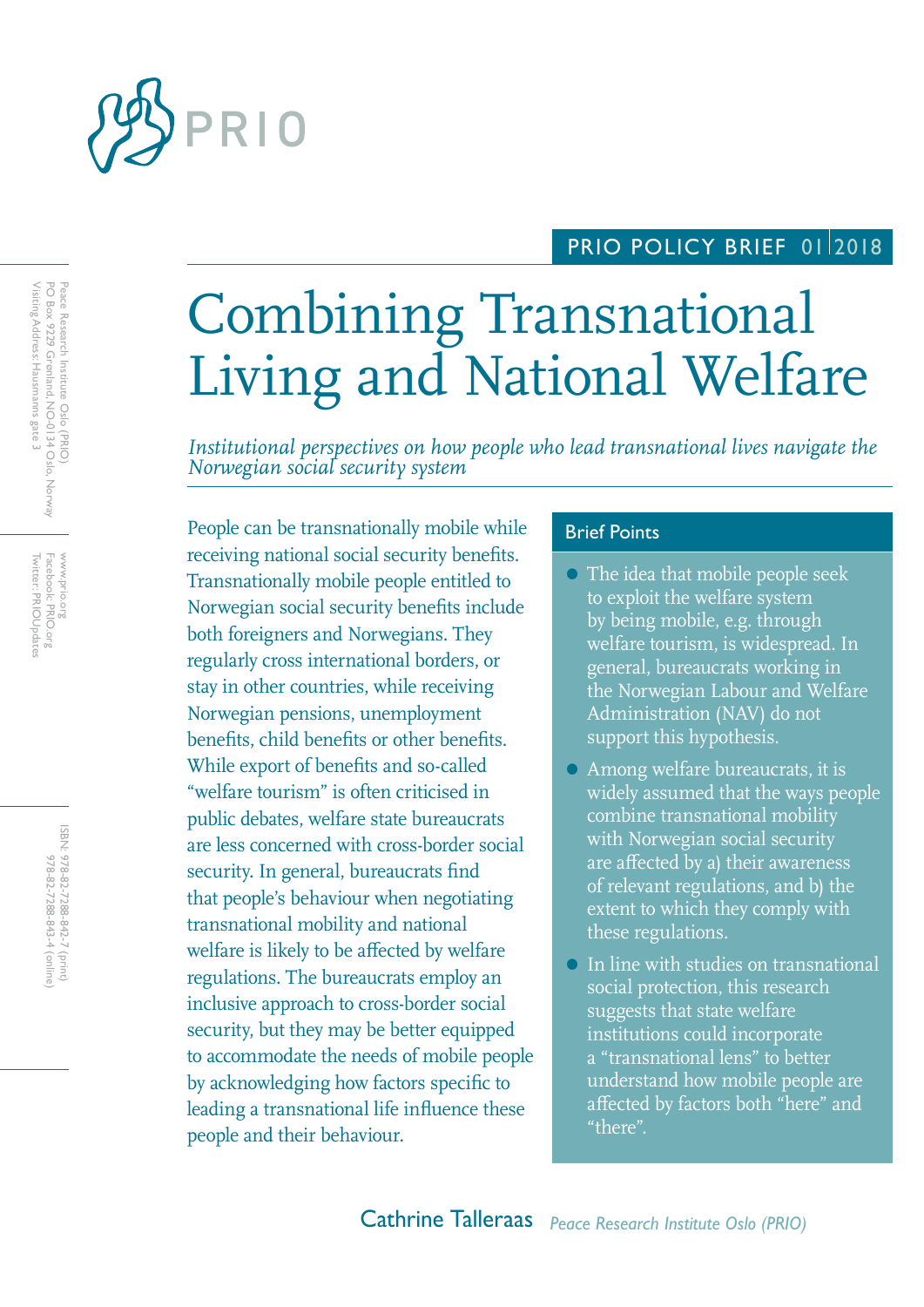

# PRIO POLICY BRIEF 0112018

# Combining Transnational Living and National Welfare

*Institutional perspectives on how people who lead transnational lives navigate the Norwegian social security system*

People can be transnationally mobile while Brief Points receiving national social security benefits. Transnationally mobile people entitled to Norwegian social security benefits include both foreigners and Norwegians. They regularly cross international borders, or stay in other countries, while receiving Norwegian pensions, unemployment benefits, child benefits or other benefits. While export of benefits and so-called "welfare tourism" is often criticised in public debates, welfare state bureaucrats are less concerned with cross-border social security. In general, bureaucrats find that people's behaviour when negotiating transnational mobility and national welfare is likely to be affected by welfare regulations. The bureaucrats employ an inclusive approach to cross-border social security, but they may be better equipped to accommodate the needs of mobile people by acknowledging how factors specific to leading a transnational life influence these people and their behaviour.

- The idea that mobile people seek to exploit the welfare system by being mobile, e.g. through welfare tourism, is widespread. In general, bureaucrats working in the Norwegian Labour and Welfare Administration (NAV) do not support this hypothesis.
- Among welfare bureaucrats, it is widely assumed that the ways people combine transnational mobility with Norwegian social security are affected by a) their awareness of relevant regulations, and b) the extent to which they comply with these regulations.
- In line with studies on transnational social protection, this research suggests that state welfare institutions could incorporate a "transnational lens" to better understand how mobile people are affected by factors both "here" and "there".

Twitter: PRIOUpdates Facebook: PRIO.org Twitter: PRIOUpdates Facebook: PRIO.org WWW.prio.org www.prio.org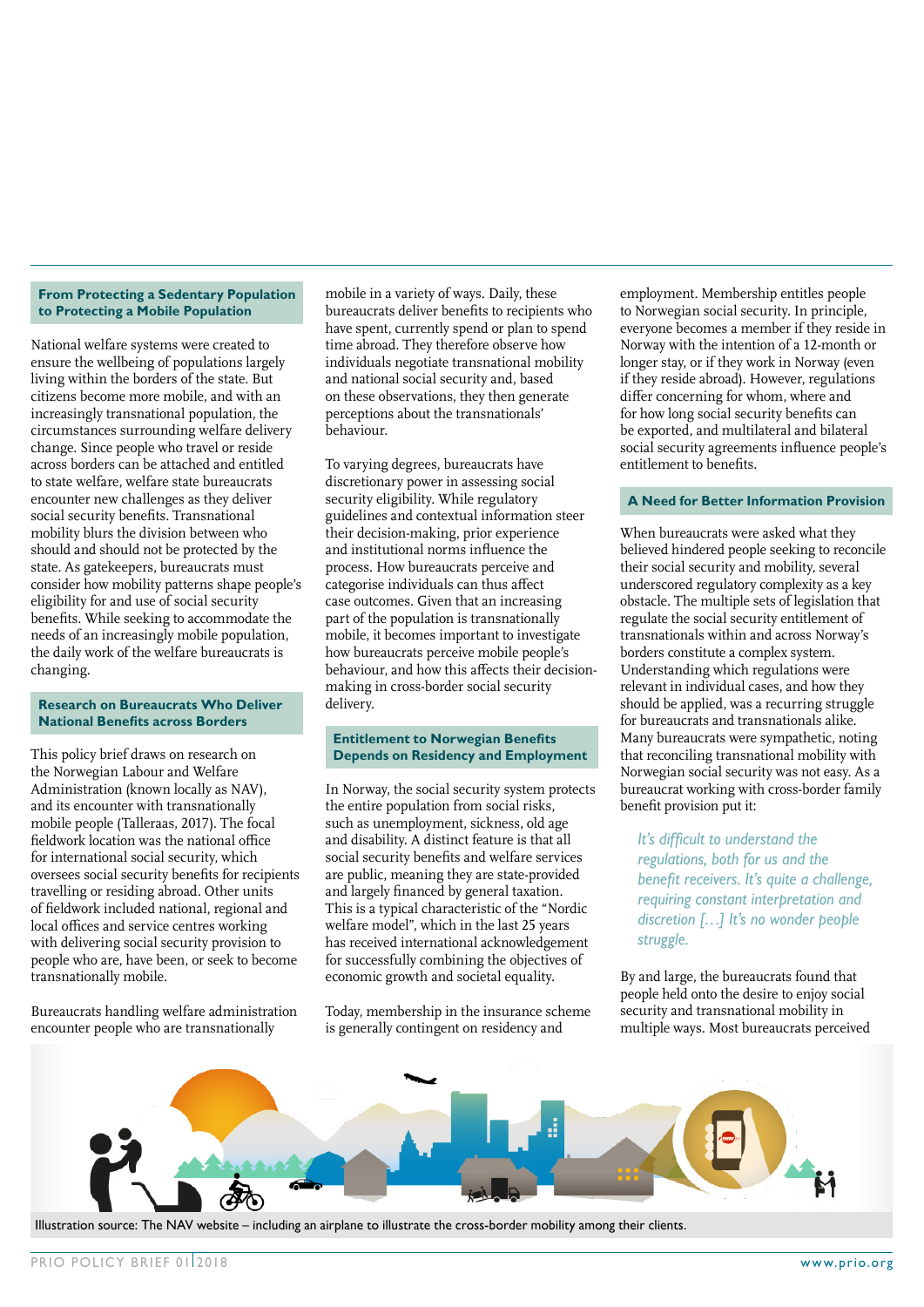#### **From Protecting a Sedentary Population to Protecting a Mobile Population**

National welfare systems were created to ensure the wellbeing of populations largely living within the borders of the state. But citizens become more mobile, and with an increasingly transnational population, the circumstances surrounding welfare delivery change. Since people who travel or reside across borders can be attached and entitled to state welfare, welfare state bureaucrats encounter new challenges as they deliver social security benefits. Transnational mobility blurs the division between who should and should not be protected by the state. As gatekeepers, bureaucrats must consider how mobility patterns shape people's eligibility for and use of social security benefits. While seeking to accommodate the needs of an increasingly mobile population, the daily work of the welfare bureaucrats is changing.

#### **Research on Bureaucrats Who Deliver National Benefits across Borders**

This policy brief draws on research on the Norwegian Labour and Welfare Administration (known locally as NAV), and its encounter with transnationally mobile people (Talleraas, 2017). The focal fieldwork location was the national office for international social security, which oversees social security benefits for recipients travelling or residing abroad. Other units of fieldwork included national, regional and local offices and service centres working with delivering social security provision to people who are, have been, or seek to become transnationally mobile.

Bureaucrats handling welfare administration encounter people who are transnationally

mobile in a variety of ways. Daily, these bureaucrats deliver benefits to recipients who have spent, currently spend or plan to spend time abroad. They therefore observe how individuals negotiate transnational mobility and national social security and, based on these observations, they then generate perceptions about the transnationals' behaviour.

To varying degrees, bureaucrats have discretionary power in assessing social security eligibility. While regulatory guidelines and contextual information steer their decision-making, prior experience and institutional norms influence the process. How bureaucrats perceive and categorise individuals can thus affect case outcomes. Given that an increasing part of the population is transnationally mobile, it becomes important to investigate how bureaucrats perceive mobile people's behaviour, and how this affects their decisionmaking in cross-border social security delivery.

#### **Entitlement to Norwegian Benefits Depends on Residency and Employment**

In Norway, the social security system protects the entire population from social risks, such as unemployment, sickness, old age and disability. A distinct feature is that all social security benefits and welfare services are public, meaning they are state-provided and largely financed by general taxation. This is a typical characteristic of the "Nordic welfare model", which in the last 25 years has received international acknowledgement for successfully combining the objectives of economic growth and societal equality.

Today, membership in the insurance scheme is generally contingent on residency and

employment. Membership entitles people to Norwegian social security. In principle, everyone becomes a member if they reside in Norway with the intention of a 12-month or longer stay, or if they work in Norway (even if they reside abroad). However, regulations differ concerning for whom, where and for how long social security benefits can be exported, and multilateral and bilateral social security agreements influence people's entitlement to benefits.

#### **A Need for Better Information Provision**

When bureaucrats were asked what they believed hindered people seeking to reconcile their social security and mobility, several underscored regulatory complexity as a key obstacle. The multiple sets of legislation that regulate the social security entitlement of transnationals within and across Norway's borders constitute a complex system. Understanding which regulations were relevant in individual cases, and how they should be applied, was a recurring struggle for bureaucrats and transnationals alike. Many bureaucrats were sympathetic, noting that reconciling transnational mobility with Norwegian social security was not easy. As a bureaucrat working with cross-border family benefit provision put it:

*It's difficult to understand the regulations, both for us and the benefit receivers. It's quite a challenge, requiring constant interpretation and discretion […] It's no wonder people struggle.*

By and large, the bureaucrats found that people held onto the desire to enjoy social security and transnational mobility in multiple ways. Most bureaucrats perceived



Illustration source: The NAV website – including an airplane to illustrate the cross-border mobility among their clients.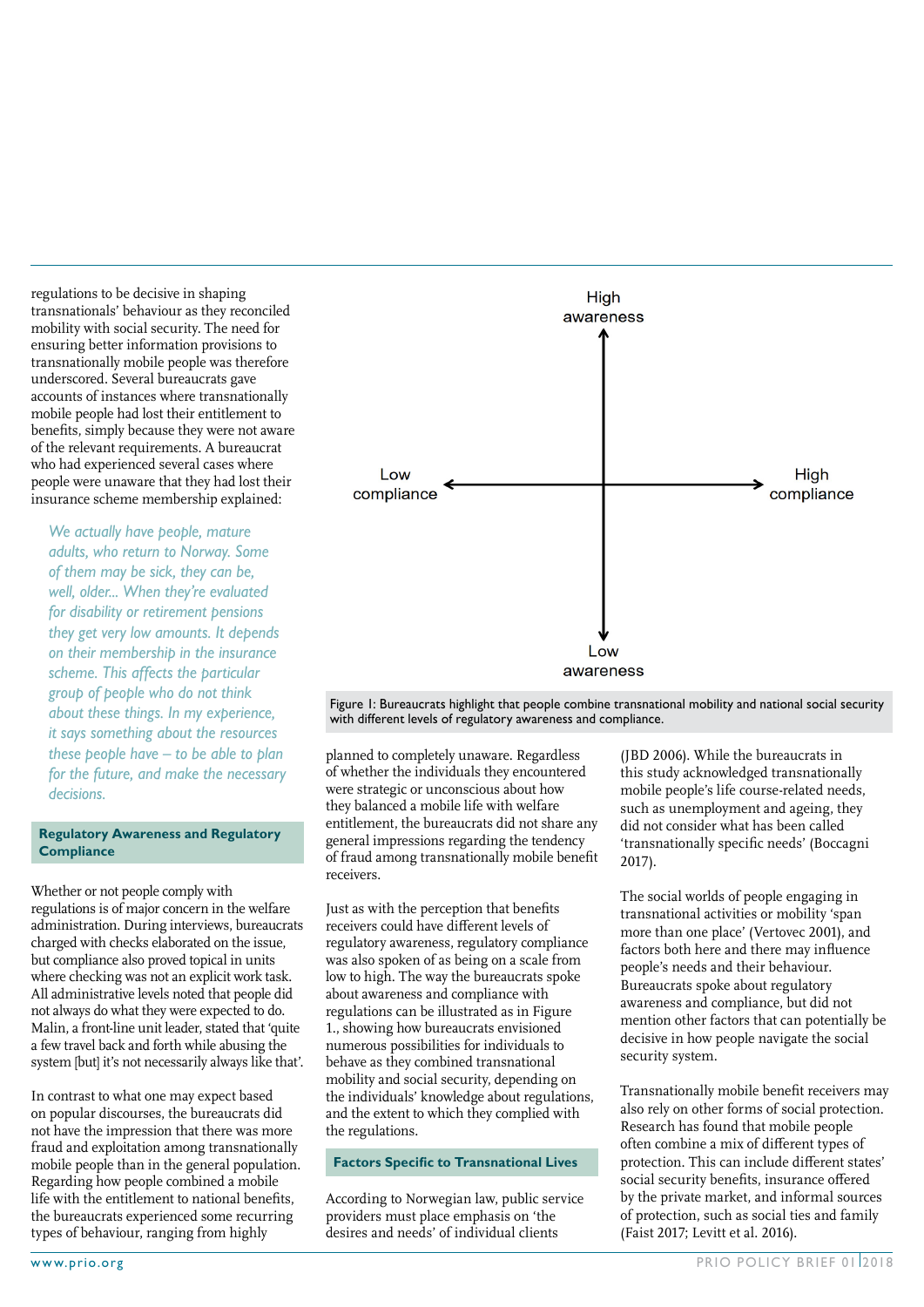regulations to be decisive in shaping transnationals' behaviour as they reconciled mobility with social security. The need for ensuring better information provisions to transnationally mobile people was therefore underscored. Several bureaucrats gave accounts of instances where transnationally mobile people had lost their entitlement to benefits, simply because they were not aware of the relevant requirements. A bureaucrat who had experienced several cases where people were unaware that they had lost their insurance scheme membership explained:

*We actually have people, mature adults, who return to Norway. Some of them may be sick, they can be, well, older... When they're evaluated for disability or retirement pensions they get very low amounts. It depends on their membership in the insurance scheme. This affects the particular group of people who do not think about these things. In my experience, it says something about the resources these people have – to be able to plan for the future, and make the necessary decisions.*

#### **Regulatory Awareness and Regulatory Compliance**

Whether or not people comply with regulations is of major concern in the welfare administration. During interviews, bureaucrats charged with checks elaborated on the issue, but compliance also proved topical in units where checking was not an explicit work task. All administrative levels noted that people did not always do what they were expected to do. Malin, a front-line unit leader, stated that 'quite a few travel back and forth while abusing the system [but] it's not necessarily always like that'.

In contrast to what one may expect based on popular discourses, the bureaucrats did not have the impression that there was more fraud and exploitation among transnationally mobile people than in the general population. Regarding how people combined a mobile life with the entitlement to national benefits, the bureaucrats experienced some recurring types of behaviour, ranging from highly



Figure 1: Bureaucrats highlight that people combine transnational mobility and national social security with different levels of regulatory awareness and compliance.

planned to completely unaware. Regardless of whether the individuals they encountered were strategic or unconscious about how they balanced a mobile life with welfare entitlement, the bureaucrats did not share any general impressions regarding the tendency of fraud among transnationally mobile benefit receivers.

Just as with the perception that benefits receivers could have different levels of regulatory awareness, regulatory compliance was also spoken of as being on a scale from low to high. The way the bureaucrats spoke about awareness and compliance with regulations can be illustrated as in Figure 1., showing how bureaucrats envisioned numerous possibilities for individuals to behave as they combined transnational mobility and social security, depending on the individuals' knowledge about regulations, and the extent to which they complied with the regulations.

#### **Factors Specific to Transnational Lives**

According to Norwegian law, public service providers must place emphasis on 'the desires and needs' of individual clients

(JBD 2006). While the bureaucrats in this study acknowledged transnationally mobile people's life course-related needs, such as unemployment and ageing, they did not consider what has been called 'transnationally specific needs' (Boccagni 2017).

The social worlds of people engaging in transnational activities or mobility 'span more than one place' (Vertovec 2001), and factors both here and there may influence people's needs and their behaviour. Bureaucrats spoke about regulatory awareness and compliance, but did not mention other factors that can potentially be decisive in how people navigate the social security system.

Transnationally mobile benefit receivers may also rely on other forms of social protection. Research has found that mobile people often combine a mix of different types of protection. This can include different states' social security benefits, insurance offered by the private market, and informal sources of protection, such as social ties and family (Faist 2017; Levitt et al. 2016).